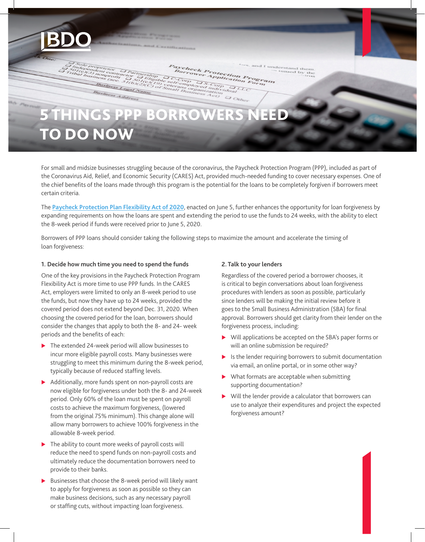

# 5 THINGS PPP BORROWERS NEED TO DO NOW

Paycheck Protection

For small and midsize businesses struggling because of the coronavirus, the Paycheck Protection Program (PPP), included as part of the Coronavirus Aid, Relief, and Economic Security (CARES) Act, provided much-needed funding to cover necessary expenses. One of the chief benefits of the loans made through this program is the potential for the loans to be completely forgiven if borrowers meet certain criteria.

Aycheck Protection Program

The **[Paycheck Protection Plan Flexibility Act of 2020](https://www.bdo.com/insights/tax/compensation-benefits/more-flexibility-for-paycheck-protection-program)**, enacted on June 5, further enhances the opportunity for loan forgiveness by expanding requirements on how the loans are spent and extending the period to use the funds to 24 weeks, with the ability to elect the 8-week period if funds were received prior to June 5, 2020.

Borrowers of PPP loans should consider taking the following steps to maximize the amount and accelerate the timing of loan forgiveness:

### **1. Decide how much time you need to spend the funds**

One of the key provisions in the Paycheck Protection Program Flexibility Act is more time to use PPP funds. In the CARES Act, employers were limited to only an 8-week period to use the funds, but now they have up to 24 weeks, provided the covered period does not extend beyond Dec. 31, 2020. When choosing the covered period for the loan, borrowers should consider the changes that apply to both the 8- and 24- week periods and the benefits of each:

- $\triangleright$  The extended 24-week period will allow businesses to incur more eligible payroll costs. Many businesses were struggling to meet this minimum during the 8-week period, typically because of reduced staffing levels.
- $\blacktriangleright$  Additionally, more funds spent on non-payroll costs are now eligible for forgiveness under both the 8- and 24-week period. Only 60% of the loan must be spent on payroll costs to achieve the maximum forgiveness, (lowered from the original 75% minimum). This change alone will allow many borrowers to achieve 100% forgiveness in the allowable 8-week period.
- $\blacktriangleright$  The ability to count more weeks of payroll costs will reduce the need to spend funds on non-payroll costs and ultimately reduce the documentation borrowers need to provide to their banks.
- Businesses that choose the 8-week period will likely want to apply for forgiveness as soon as possible so they can make business decisions, such as any necessary payroll or staffing cuts, without impacting loan forgiveness.

# **2. Talk to your lenders**

Regardless of the covered period a borrower chooses, it is critical to begin conversations about loan forgiveness procedures with lenders as soon as possible, particularly since lenders will be making the initial review before it goes to the Small Business Administration (SBA) for final approval. Borrowers should get clarity from their lender on the forgiveness process, including:

and I understand them.

- $\triangleright$  Will applications be accepted on the SBA's paper forms or will an online submission be required?
- $\blacktriangleright$  Is the lender requiring borrowers to submit documentation via email, an online portal, or in some other way?
- $\blacktriangleright$  What formats are acceptable when submitting supporting documentation?
- $\triangleright$  Will the lender provide a calculator that borrowers can use to analyze their expenditures and project the expected forgiveness amount?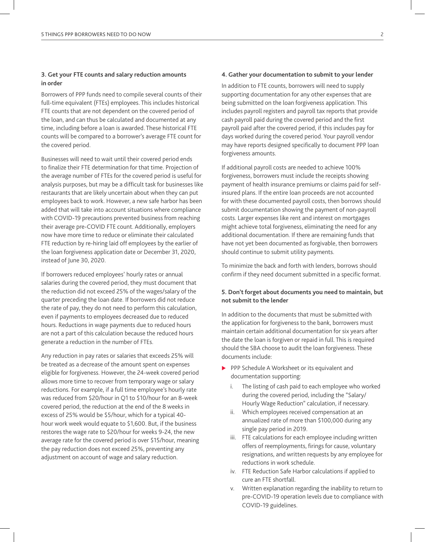## **3. Get your FTE counts and salary reduction amounts in order**

Borrowers of PPP funds need to compile several counts of their full-time equivalent (FTEs) employees. This includes historical FTE counts that are not dependent on the covered period of the loan, and can thus be calculated and documented at any time, including before a loan is awarded. These historical FTE counts will be compared to a borrower's average FTE count for the covered period.

Businesses will need to wait until their covered period ends to finalize their FTE determination for that time. Projection of the average number of FTEs for the covered period is useful for analysis purposes, but may be a difficult task for businesses like restaurants that are likely uncertain about when they can put employees back to work. However, a new safe harbor has been added that will take into account situations where compliance with COVID-19 precautions prevented business from reaching their average pre-COVID FTE count. Additionally, employers now have more time to reduce or eliminate their calculated FTE reduction by re-hiring laid off employees by the earlier of the loan forgiveness application date or December 31, 2020, instead of June 30, 2020.

If borrowers reduced employees' hourly rates or annual salaries during the covered period, they must document that the reduction did not exceed 25% of the wages/salary of the quarter preceding the loan date. If borrowers did not reduce the rate of pay, they do not need to perform this calculation, even if payments to employees decreased due to reduced hours. Reductions in wage payments due to reduced hours are not a part of this calculation because the reduced hours generate a reduction in the number of FTEs.

Any reduction in pay rates or salaries that exceeds 25% will be treated as a decrease of the amount spent on expenses eligible for forgiveness. However, the 24-week covered period allows more time to recover from temporary wage or salary reductions. For example, if a full time employee's hourly rate was reduced from \$20/hour in Q1 to \$10/hour for an 8-week covered period, the reduction at the end of the 8 weeks in excess of 25% would be \$5/hour, which for a typical 40 hour work week would equate to \$1,600. But, if the business restores the wage rate to \$20/hour for weeks 9-24, the new average rate for the covered period is over \$15/hour, meaning the pay reduction does not exceed 25%, preventing any adjustment on account of wage and salary reduction.

#### **4. Gather your documentation to submit to your lender**

In addition to FTE counts, borrowers will need to supply supporting documentation for any other expenses that are being submitted on the loan forgiveness application. This includes payroll registers and payroll tax reports that provide cash payroll paid during the covered period and the first payroll paid after the covered period, if this includes pay for days worked during the covered period. Your payroll vendor may have reports designed specifically to document PPP loan forgiveness amounts.

If additional payroll costs are needed to achieve 100% forgiveness, borrowers must include the receipts showing payment of health insurance premiums or claims paid for selfinsured plans. If the entire loan proceeds are not accounted for with these documented payroll costs, then borrows should submit documentation showing the payment of non-payroll costs. Larger expenses like rent and interest on mortgages might achieve total forgiveness, eliminating the need for any additional documentation. If there are remaining funds that have not yet been documented as forgivable, then borrowers should continue to submit utility payments.

To minimize the back and forth with lenders, borrows should confirm if they need document submitted in a specific format.

# **5. Don't forget about documents you need to maintain, but not submit to the lender**

In addition to the documents that must be submitted with the application for forgiveness to the bank, borrowers must maintain certain additional documentation for six years after the date the loan is forgiven or repaid in full. This is required should the SBA choose to audit the loan forgiveness. These documents include:

- PPP Schedule A Worksheet or its equivalent and documentation supporting:
	- i. The listing of cash paid to each employee who worked during the covered period, including the "Salary/ Hourly Wage Reduction" calculation, if necessary.
	- ii. Which employees received compensation at an annualized rate of more than \$100,000 during any single pay period in 2019.
	- iii. FTE calculations for each employee including written offers of reemployments, firings for cause, voluntary resignations, and written requests by any employee for reductions in work schedule.
	- iv. FTE Reduction Safe Harbor calculations if applied to cure an FTE shortfall.
	- v. Written explanation regarding the inability to return to pre-COVID-19 operation levels due to compliance with COVID-19 guidelines.